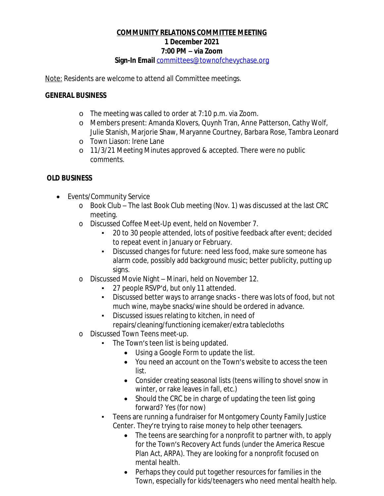## **COMMUNITY RELATIONS COMMITTEE MEETING 1 December 2021 7:00 PM – via Zoom Sign-In Email** [committees@townofchevychase.org](mailto:committees@townofchevychase.org)

Note: Residents are welcome to attend all Committee meetings.

#### **GENERAL BUSINESS**

- o The meeting was called to order at 7:10 p.m. via Zoom.
- o Members present: Amanda Klovers, Quynh Tran, Anne Patterson, Cathy Wolf, Julie Stanish, Marjorie Shaw, Maryanne Courtney, Barbara Rose, Tambra Leonard
- o Town Liason: Irene Lane
- o 11/3/21 Meeting Minutes approved & accepted. There were no public comments.

## **OLD BUSINESS**

- · Events/Community Service
	- o Book Club The last Book Club meeting (Nov. 1) was discussed at the last CRC meeting.
	- o Discussed Coffee Meet-Up event, held on November 7.
		- 20 to 30 people attended, lots of positive feedback after event; decided to repeat event in January or February.
		- Discussed changes for future: need less food, make sure someone has alarm code, possibly add background music; better publicity, putting up signs.
	- o Discussed Movie Night Minari, held on November 12.
		- 27 people RSVP'd, but only 11 attended.
		- Discussed better ways to arrange snacks there was lots of food, but not much wine, maybe snacks/wine should be ordered in advance.
		- Discussed issues relating to kitchen, in need of repairs/cleaning/functioning icemaker/extra tablecloths
	- o Discussed Town Teens meet-up.
		- The Town's teen list is being updated.
			- · Using a Google Form to update the list.
			- · You need an account on the Town's website to access the teen list.
			- · Consider creating seasonal lists (teens willing to shovel snow in winter, or rake leaves in fall, etc.)
			- Should the CRC be in charge of updating the teen list going forward? Yes (for now)
		- Teens are running a fundraiser for Montgomery County Family Justice Center. They're trying to raise money to help other teenagers.
			- The teens are searching for a nonprofit to partner with, to apply for the Town's Recovery Act funds (under the America Rescue Plan Act, ARPA). They are looking for a nonprofit focused on mental health.
			- · Perhaps they could put together resources for families in the Town, especially for kids/teenagers who need mental health help.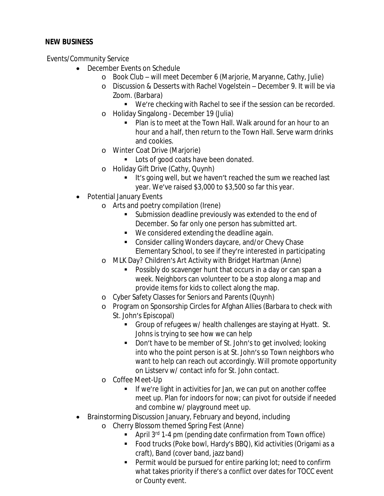# **NEW BUSINESS**

Events/Community Service

- December Events on Schedule
	- o Book Club will meet December 6 (Marjorie, Maryanne, Cathy, Julie)
	- o Discussion & Desserts with Rachel Vogelstein December 9. It will be via Zoom. (Barbara)
		- We're checking with Rachel to see if the session can be recorded.
	- o Holiday Singalong December 19 (Julia)
		- **Plan is to meet at the Town Hall. Walk around for an hour to an** hour and a half, then return to the Town Hall. Serve warm drinks and cookies.
	- o Winter Coat Drive (Marjorie)
		- **Lots of good coats have been donated.**
	- o Holiday Gift Drive (Cathy, Quynh)
		- It's going well, but we haven't reached the sum we reached last year. We've raised \$3,000 to \$3,500 so far this year.
- **Potential January Events** 
	- o Arts and poetry compilation (Irene)
		- **Submission deadline previously was extended to the end of** December. So far only one person has submitted art.
		- We considered extending the deadline again.
		- Consider calling Wonders daycare, and/or Chevy Chase Elementary School, to see if they're interested in participating
	- o MLK Day? Children's Art Activity with Bridget Hartman (Anne)
		- Possibly do scavenger hunt that occurs in a day or can span a week. Neighbors can volunteer to be a stop along a map and provide items for kids to collect along the map.
	- o Cyber Safety Classes for Seniors and Parents (Quynh)
	- o Program on Sponsorship Circles for Afghan Allies (Barbara to check with St. John's Episcopal)
		- Group of refugees w/ health challenges are staying at Hyatt. St. Johns is trying to see how we can help
		- Don't have to be member of St. John's to get involved; looking into who the point person is at St. John's so Town neighbors who want to help can reach out accordingly. Will promote opportunity on Listserv w/ contact info for St. John contact.
	- o Coffee Meet-Up
		- **If we're light in activities for Jan, we can put on another coffee** meet up. Plan for indoors for now; can pivot for outside if needed and combine w/ playground meet up.
- · Brainstorming Discussion January, February and beyond, including
	- o Cherry Blossom themed Spring Fest (Anne)
		- April  $3^{rd}$  1-4 pm (pending date confirmation from Town office)
		- Food trucks (Poke bowl, Hardy's BBQ), Kid activities (Origami as a craft), Band (cover band, jazz band)
		- Permit would be pursued for entire parking lot; need to confirm what takes priority if there's a conflict over dates for TOCC event or County event.